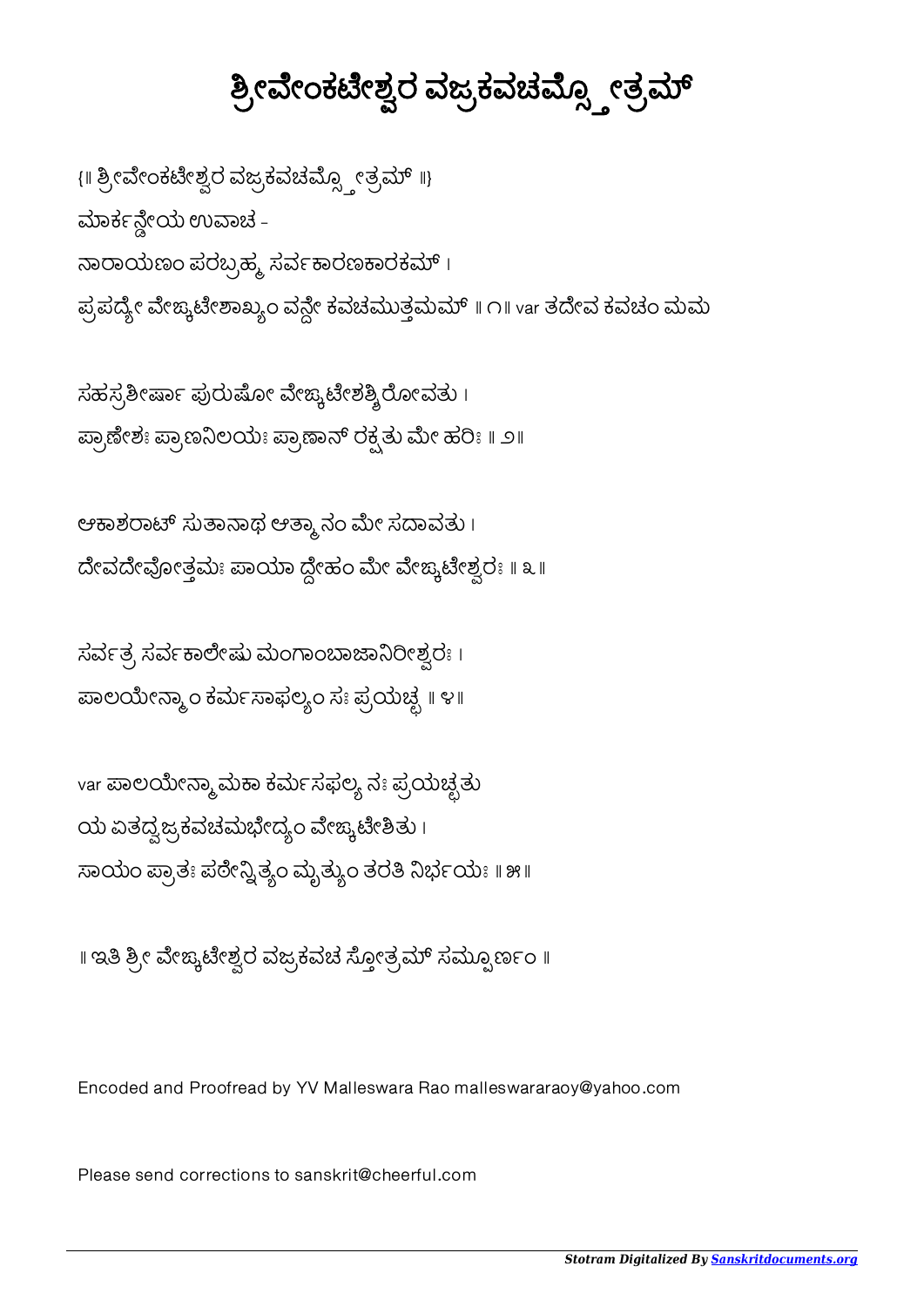## ಶ್ರೀವೇಂಕಟೇಶ್ವರ ವಜ್ರಕವಚಮ್ಸ್ಟೋತ್ರಮ್

{ | ಶ್ರೀವೇಂಕಟೇಶ್ವರ ವಜ್ರಕವಚಮ್ಸ್ಪೋತ್ರಮ್ ||} ಮಾರ್ಕನ್ನೇಯ ಉವಾಚ -ನಾರಾಯಣಂ ಪರಬ್ರಹ್ಮ ಸರ್ವಕಾರಣಕಾರಕಮ್ । ಪ್ರಪದ್ಯೇ ವೇಙ್ಕಟೇಶಾಖ್ಯಂ ವನ್ಗೇ ಕವಚಮುತ್ತಮಮ್ ॥ ೧॥ var ತದೇವ ಕವಚಂ ಮಮ

ಸಹಸ್ರಶೀರ್ಷಾ ಪುರುಷೋ ವೇಙ್ಕಟೇಶಶ್ಶಿರೋವತು। ಪ್ರಾಣೀಶಃ ಪ್ರಾಣನಿಲಯಃ ಪ್ರಾಣಾನ್ ರಕ್ಷತು ಮೇ ಹರಿಃ **||** ೨||

ಆಕಾಶರಾಟ್ ಸುತಾನಾಥ ಆತ್ಮಾ ನಂ ಮೇ ಸದಾವತು । ದೇವದೇವೋತ್ತಮಃ ಪಾಯಾ ದ್ದೇಹಂ ಮೇ ವೇಙ್ಕಟೇಶ್ವರಃ ॥ ೩ ॥

ಸರ್ವತ್ರ ಸರ್ವಕಾಲೇಷು ಮಂಗಾಂಬಾಜಾನಿರೀಶ್ವರಃ । ಪಾಲಯೇನ್ಮಾಂ ಕರ್ಮಸಾಫಲ್ಯಂ ಸಃ ಪ್ರಯಚ್ಛ ॥ ೪॥

var ಪಾಲಯೇನ್ಮಾ ಮಕಾ ಕರ್ಮಸಫಲ್ಯ ನಃ ಪ್ರಯಚ್ಛತು ಯ ಏತದ್ವಜ್ರಕವಚಮಭೇದ್ಯಂ ವೇಙ್ಕಟೇಶಿತು ၊ ಸಾಯಂ ಪ್ರಾತಃ ಪರೇನ್ವಿತ್ಯಂ ಮೃತ್ಯುಂ ತರತಿ ನಿರ್ಭಯಃ ॥ ೫॥

॥ ಇತಿ ಶ್ರೀ ವೇಙ್ಕಟೇಶ್ವರ ವಜ್ರಕವಚ ಸ್ತೋತ್ರಮ್ ಸಮ್ಪೂರ್ಣಂ ॥

Encoded and Proofread by YV Malleswara Rao malleswararaoy@yahoo.com

Please send corrections to sanskrit@cheerful.com